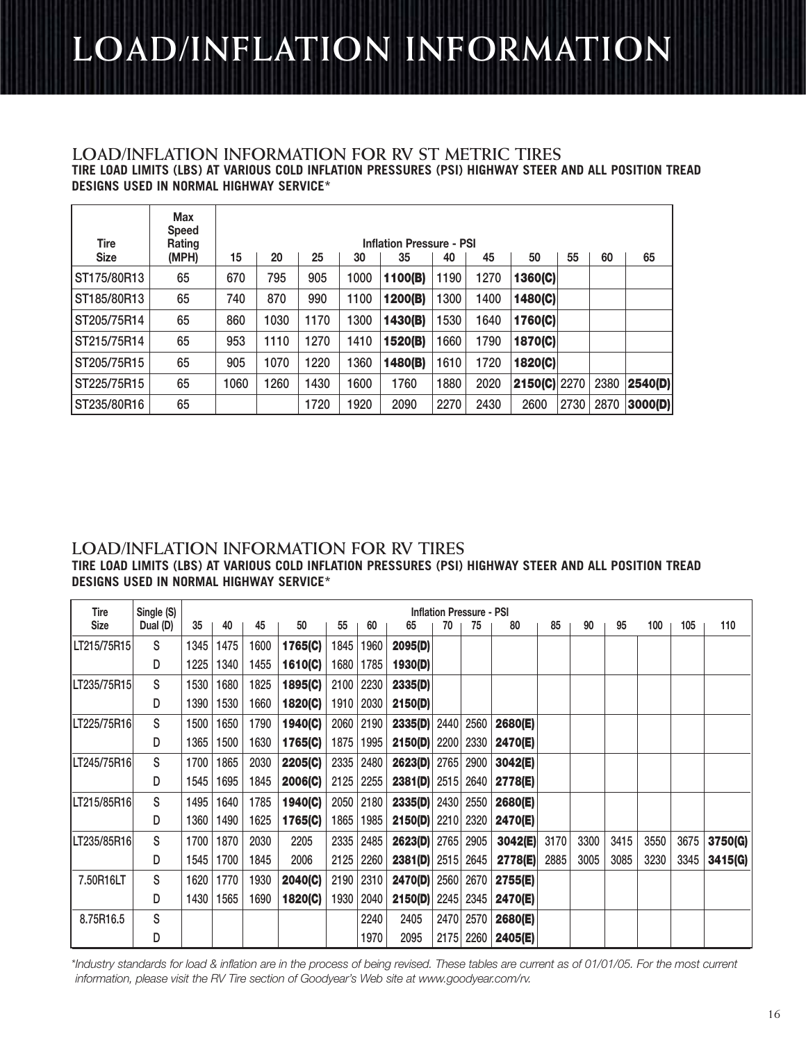## **LOAD/INFLATION INFORMATION**

#### **TIRE LOAD LIMITS (LBS) AT VARIOUS COLD INFLATION PRESSURES (PSI) HIGHWAY STEER AND ALL POSITION TREAD DESIGNS USED IN NORMAL HIGHWAY SERVICE\* LOAD/INFLATION INFORMATION FOR RV ST METRIC TIRES**

| <b>Tire</b> | Max<br><b>Speed</b><br>Rating | <b>Inflation Pressure - PSI</b> |                                                    |      |      |         |      |      |              |      |      |         |  |  |  |
|-------------|-------------------------------|---------------------------------|----------------------------------------------------|------|------|---------|------|------|--------------|------|------|---------|--|--|--|
| <b>Size</b> | (MPH)                         | 15                              | 55<br>45<br>60<br>20<br>25<br>50<br>30<br>35<br>40 |      |      |         |      |      |              |      |      |         |  |  |  |
| ST175/80R13 | 65                            | 670                             | 795                                                | 905  | 1000 | 1100(B) | 1190 | 1270 | 1360(C)      |      |      |         |  |  |  |
| ST185/80R13 | 65                            | 740                             | 870                                                | 990  | 1100 | 1200(B) | 1300 | 1400 | 1480(C)      |      |      |         |  |  |  |
| ST205/75R14 | 65                            | 860                             | 1030                                               | 1170 | 1300 | 1430(B) | 1530 | 1640 | 1760(C)      |      |      |         |  |  |  |
| ST215/75R14 | 65                            | 953                             | 1110                                               | 1270 | 1410 | 1520(B) | 1660 | 1790 | 1870(C)      |      |      |         |  |  |  |
| ST205/75R15 | 65                            | 905                             | 1070                                               | 1220 | 1360 | 1480(B) | 1610 | 1720 | 1820(C)      |      |      |         |  |  |  |
| ST225/75R15 | 65                            | 1060                            | 1260                                               | 1430 | 1600 | 1760    | 1880 | 2020 | 2150(C) 2270 |      | 2380 | 2540(D) |  |  |  |
| ST235/80R16 | 65                            |                                 |                                                    | 1720 | 920  | 2090    | 2270 | 2430 | 2600         | 2730 | 2870 | 3000(D) |  |  |  |

#### **LOAD/INFLATION INFORMATION FOR RV TIRES TIRE LOAD LIMITS (LBS) AT VARIOUS COLD INFLATION PRESSURES (PSI) HIGHWAY STEER AND ALL POSITION TREAD DESIGNS USED IN NORMAL HIGHWAY SERVICE\***

| Tire        | Single (S) | <b>Inflation Pressure - PSI</b> |      |      |         |      |      |         |      |      |         |      |      |      |      |      |         |
|-------------|------------|---------------------------------|------|------|---------|------|------|---------|------|------|---------|------|------|------|------|------|---------|
| <b>Size</b> | Dual (D)   | 35                              | 40   | 45   | 50      | 55   | 60   | 65      | 70   | 75   | 80      | 85   | 90   | 95   | 100  | 105  | 110     |
| LT215/75R15 | S          | 1345                            | 1475 | 1600 | 1765(C) | 1845 | 1960 | 2095(D) |      |      |         |      |      |      |      |      |         |
|             | D          | 1225                            | 1340 | 1455 | 1610(C) | 1680 | 1785 | 1930(D) |      |      |         |      |      |      |      |      |         |
| LT235/75R15 | S          | 1530                            | 1680 | 1825 | 1895(C) | 2100 | 2230 | 2335(D) |      |      |         |      |      |      |      |      |         |
|             | D          | 1390                            | 1530 | 1660 | 1820(C) | 1910 | 2030 | 2150(D) |      |      |         |      |      |      |      |      |         |
| LT225/75R16 | S          | 1500                            | 1650 | 1790 | 1940(C) | 2060 | 2190 | 2335(D) | 2440 | 2560 | 2680(E) |      |      |      |      |      |         |
|             | D          | 1365                            | 1500 | 1630 | 1765(C) | 1875 | 1995 | 2150(D) | 2200 | 2330 | 2470(E) |      |      |      |      |      |         |
| LT245/75R16 | S          | 1700                            | 1865 | 2030 | 2205(C) | 2335 | 2480 | 2623(D) | 2765 | 2900 | 3042(E) |      |      |      |      |      |         |
|             | D          | 1545                            | 1695 | 1845 | 2006(C) | 2125 | 2255 | 2381(D) | 2515 | 2640 | 2778(E) |      |      |      |      |      |         |
| LT215/85R16 | S          | 1495                            | 1640 | 1785 | 1940(C) | 2050 | 2180 | 2335(D) | 2430 | 2550 | 2680(E) |      |      |      |      |      |         |
|             | D          | 1360                            | 1490 | 1625 | 1765(C) | 1865 | 1985 | 2150(D) | 2210 | 2320 | 2470(E) |      |      |      |      |      |         |
| LT235/85R16 | S          | 1700                            | 1870 | 2030 | 2205    | 2335 | 2485 | 2623(D) | 2765 | 2905 | 3042(E) | 3170 | 3300 | 3415 | 3550 | 3675 | 3750(G) |
|             | D          | 1545                            | 1700 | 1845 | 2006    | 2125 | 2260 | 2381(D) | 2515 | 2645 | 2778(E) | 2885 | 3005 | 3085 | 3230 | 3345 | 3415(G) |
| 7.50R16LT   | S          | 1620                            | 1770 | 1930 | 2040(C) | 2190 | 2310 | 2470(D) | 2560 | 2670 | 2755(E) |      |      |      |      |      |         |
|             | D          | 1430                            | 1565 | 1690 | 1820(C) | 1930 | 2040 | 2150(D) | 2245 | 2345 | 2470(E) |      |      |      |      |      |         |
| 8.75R16.5   | S          |                                 |      |      |         |      | 2240 | 2405    | 2470 | 2570 | 2680(E) |      |      |      |      |      |         |
|             | D          |                                 |      |      |         |      | 1970 | 2095    | 2175 | 2260 | 2405(E) |      |      |      |      |      |         |

\* Industry standards for load & inflation are in the process of being revised. These tables are current as of 01/01/05. For the most current information, please visit the RV Tire section of Goodyear's Web site at www.goodyear.com/rv.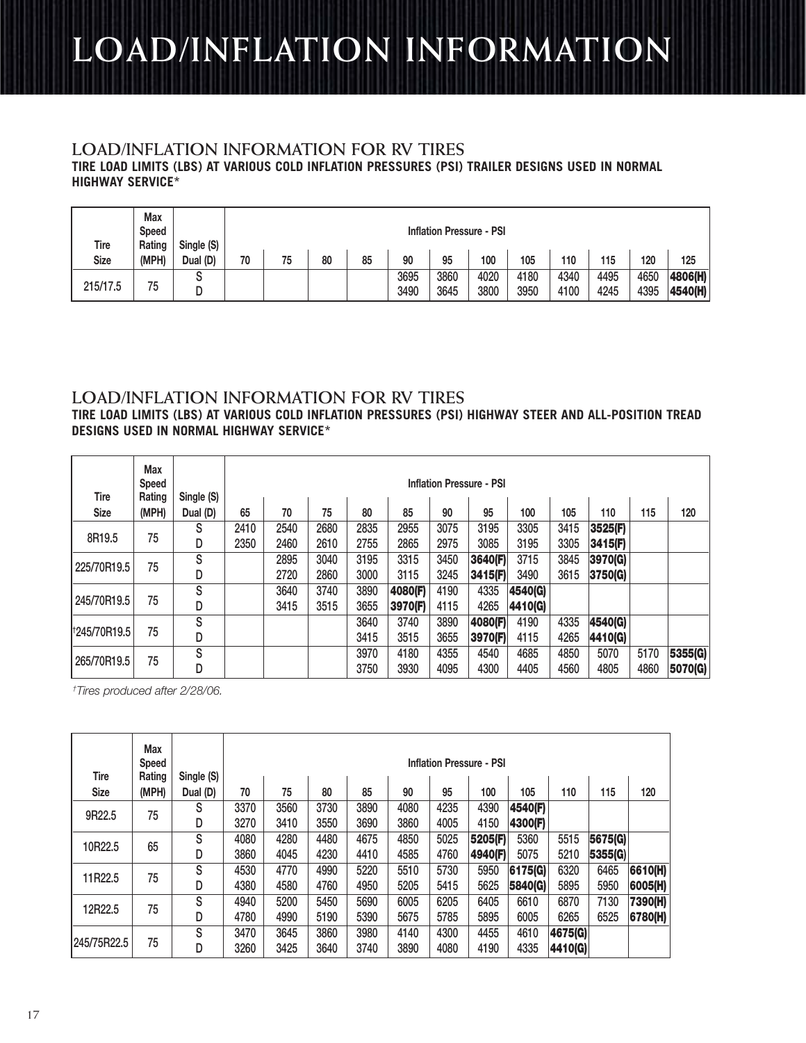# **LOAD/INFLATION INFORMATION**

### **LOAD/INFLATION INFORMATION FOR RV TIRES**

**TIRE LOAD LIMITS (LBS) AT VARIOUS COLD INFLATION PRESSURES (PSI) TRAILER DESIGNS USED IN NORMAL HIGHWAY SERVICE\***

| Tire     | Max<br><b>Speed</b><br>Rating | Single (S) |    | <b>Inflation Pressure - PSI</b> |    |    |              |              |              |              |              |              |              |                    |  |
|----------|-------------------------------|------------|----|---------------------------------|----|----|--------------|--------------|--------------|--------------|--------------|--------------|--------------|--------------------|--|
| Size     | (MPH)                         | Dual (D)   | 70 | 75                              | 80 | 85 | 90           | 95           | 100          | 105          | 110          | 115          | 120          | 125                |  |
| 215/17.5 | 75                            |            |    |                                 |    |    | 3695<br>3490 | 3860<br>3645 | 4020<br>3800 | 4180<br>3950 | 4340<br>4100 | 4495<br>4245 | 4650<br>4395 | 4806(H)<br>4540(H) |  |

### **LOAD/INFLATION INFORMATION FOR RV TIRES**

**TIRE LOAD LIMITS (LBS) AT VARIOUS COLD INFLATION PRESSURES (PSI) HIGHWAY STEER AND ALL-POSITION TREAD DESIGNS USED IN NORMAL HIGHWAY SERVICE\***

| Tire                     | Max<br><b>Speed</b><br>Rating | Single (S) | <b>Inflation Pressure - PSI</b> |      |      |      |         |      |         |         |      |         |      |         |
|--------------------------|-------------------------------|------------|---------------------------------|------|------|------|---------|------|---------|---------|------|---------|------|---------|
| <b>Size</b>              | (MPH)                         | Dual (D)   | 65                              | 70   | 75   | 80   | 85      | 90   | 95      | 100     | 105  | 110     | 115  | 120     |
|                          |                               | S          | 2410                            | 2540 | 2680 | 2835 | 2955    | 3075 | 3195    | 3305    | 3415 | 3525(F) |      |         |
| 8R19.5                   | 75                            | D          | 2350                            | 2460 | 2610 | 2755 | 2865    | 2975 | 3085    | 3195    | 3305 | 3415(F) |      |         |
| 225/70R19.5              | 75                            | S          |                                 | 2895 | 3040 | 3195 | 3315    | 3450 | 3640(F) | 3715    | 3845 | 3970(G) |      |         |
|                          |                               | D          |                                 | 2720 | 2860 | 3000 | 3115    | 3245 | 3415(F) | 3490    | 3615 | 3750(G) |      |         |
|                          |                               | S          |                                 | 3640 | 3740 | 3890 | 4080(F) | 4190 | 4335    | 4540(G) |      |         |      |         |
| 245/70R19.5              | 75                            | D          |                                 | 3415 | 3515 | 3655 | 3970(F) | 4115 | 4265    | 4410(G) |      |         |      |         |
|                          |                               | S          |                                 |      |      | 3640 | 3740    | 3890 | 4080(F) | 4190    | 4335 | 4540(G) |      |         |
| <sup>t</sup> 245/70R19.5 | 75                            | D          |                                 |      |      | 3415 | 3515    | 3655 | 3970(F) | 4115    | 4265 | 4410(G) |      |         |
|                          | 75                            | S          |                                 |      |      | 3970 | 4180    | 4355 | 4540    | 4685    | 4850 | 5070    | 5170 | 5355(G) |
| 265/70R19.5              |                               | D          |                                 |      |      | 3750 | 3930    | 4095 | 4300    | 4405    | 4560 | 4805    | 4860 | 5070(G) |

† Tires produced after 2/28/06.

| <b>Tire</b> | Max<br>Speed<br>Rating | Single (S) |              | <b>Inflation Pressure - PSI</b> |              |              |              |              |              |              |                    |         |         |  |  |
|-------------|------------------------|------------|--------------|---------------------------------|--------------|--------------|--------------|--------------|--------------|--------------|--------------------|---------|---------|--|--|
| <b>Size</b> | (MPH)                  | Dual (D)   | 70           | 75                              | 80           | 85           | 90           | 95           | 100          | 105          | 110                | 115     | 120     |  |  |
|             |                        | S          | 3370         | 3560                            | 3730         | 3890         | 4080         | 4235         | 4390         | 4540(F)      |                    |         |         |  |  |
| 9R22.5      | 75                     | D          | 3270         | 3410                            | 3550         | 3690         | 3860         | 4005         | 4150         | 4300(F)      |                    |         |         |  |  |
|             |                        | S          | 4080         | 4280                            | 4480         | 4675         | 4850         | 5025         | 5205(F)      | 5360         | 5515               | 5675(G) |         |  |  |
| 10R22.5     | 65                     | D          | 3860         | 4045                            | 4230         | 4410         | 4585         | 4760         | 4940(F)      | 5075         | 5210               | 5355(G) |         |  |  |
| 11R22.5     | 75                     | S          | 4530         | 4770                            | 4990         | 5220         | 5510         | 5730         | 5950         | 6175(G)      | 6320               | 6465    | 6610(H) |  |  |
|             |                        | D          | 4380         | 4580                            | 4760         | 4950         | 5205         | 5415         | 5625         | 5840(G)      | 5895               | 5950    | 6005(H) |  |  |
| 12R22.5     | 75                     | S          | 4940         | 5200                            | 5450         | 5690         | 6005         | 6205         | 6405         | 6610         | 6870               | 7130    | 7390(H) |  |  |
|             |                        | D          | 4780         | 4990                            | 5190         | 5390         | 5675         | 5785         | 5895         | 6005         | 6265               | 6525    | 6780(H) |  |  |
| 245/75R22.5 | 75                     | S<br>D     | 3470<br>3260 | 3645<br>3425                    | 3860<br>3640 | 3980<br>3740 | 4140<br>3890 | 4300<br>4080 | 4455<br>4190 | 4610<br>4335 | 4675(G)<br>4410(G) |         |         |  |  |